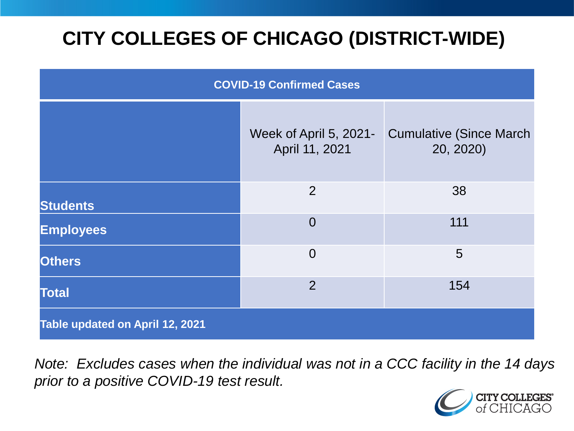# **CITY COLLEGES OF CHICAGO (DISTRICT-WIDE)**

| <b>COVID-19 Confirmed Cases</b> |                                          |                                              |
|---------------------------------|------------------------------------------|----------------------------------------------|
|                                 | Week of April 5, 2021-<br>April 11, 2021 | <b>Cumulative (Since March)</b><br>20, 2020) |
| <b>Students</b>                 | 2                                        | 38                                           |
| <b>Employees</b>                | $\overline{0}$                           | 111                                          |
| <b>Others</b>                   | $\overline{0}$                           | 5                                            |
| <b>Total</b>                    | $\overline{2}$                           | 154                                          |
| Table updated on April 12, 2021 |                                          |                                              |

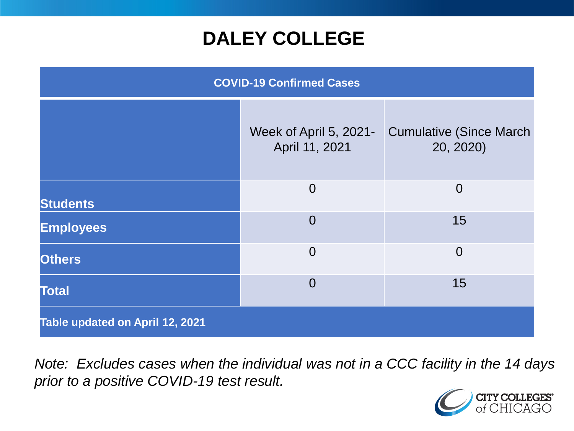### **DALEY COLLEGE**

| <b>COVID-19 Confirmed Cases</b> |                                          |                                              |
|---------------------------------|------------------------------------------|----------------------------------------------|
|                                 | Week of April 5, 2021-<br>April 11, 2021 | <b>Cumulative (Since March)</b><br>20, 2020) |
| <b>Students</b>                 | $\overline{0}$                           | $\overline{0}$                               |
| <b>Employees</b>                | $\overline{0}$                           | 15                                           |
| <b>Others</b>                   | $\overline{0}$                           | $\overline{0}$                               |
| <b>Total</b>                    | $\overline{0}$                           | 15                                           |
| Table updated on April 12, 2021 |                                          |                                              |

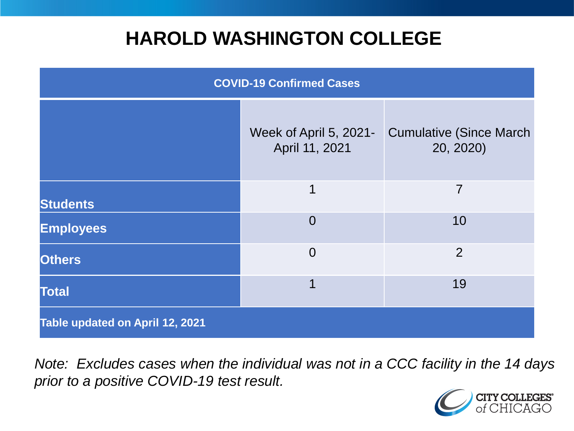### **HAROLD WASHINGTON COLLEGE**

| <b>COVID-19 Confirmed Cases</b> |                                          |                                              |
|---------------------------------|------------------------------------------|----------------------------------------------|
|                                 | Week of April 5, 2021-<br>April 11, 2021 | <b>Cumulative (Since March)</b><br>20, 2020) |
| <b>Students</b>                 | 1                                        | $\overline{7}$                               |
| <b>Employees</b>                | $\Omega$                                 | 10                                           |
| <b>Others</b>                   | $\overline{0}$                           | $\overline{2}$                               |
| <b>Total</b>                    | 1                                        | 19                                           |
| Table updated on April 12, 2021 |                                          |                                              |

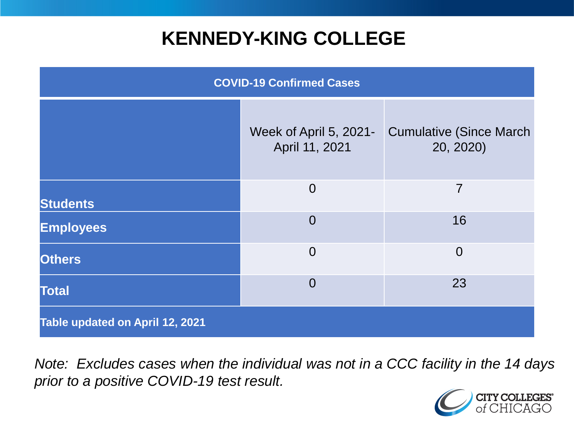### **KENNEDY-KING COLLEGE**

| <b>COVID-19 Confirmed Cases</b> |                                          |                                              |
|---------------------------------|------------------------------------------|----------------------------------------------|
|                                 | Week of April 5, 2021-<br>April 11, 2021 | <b>Cumulative (Since March)</b><br>20, 2020) |
| <b>Students</b>                 | $\overline{0}$                           | $\overline{7}$                               |
| <b>Employees</b>                | $\overline{0}$                           | 16                                           |
| <b>Others</b>                   | $\overline{0}$                           | $\overline{0}$                               |
| <b>Total</b>                    | $\overline{0}$                           | 23                                           |
| Table updated on April 12, 2021 |                                          |                                              |

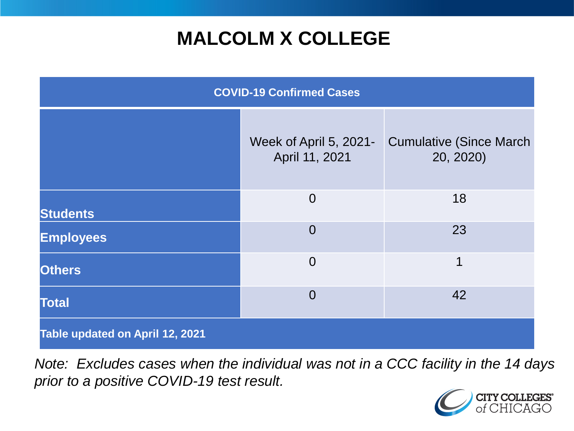# **MALCOLM X COLLEGE**

| <b>COVID-19 Confirmed Cases</b> |                                          |                                              |
|---------------------------------|------------------------------------------|----------------------------------------------|
|                                 | Week of April 5, 2021-<br>April 11, 2021 | <b>Cumulative (Since March)</b><br>20, 2020) |
| <b>Students</b>                 | $\overline{0}$                           | 18                                           |
| <b>Employees</b>                | $\overline{0}$                           | 23                                           |
| <b>Others</b>                   | $\overline{0}$                           | 1                                            |
| <b>Total</b>                    | $\overline{0}$                           | 42                                           |
| Table updated on April 12, 2021 |                                          |                                              |

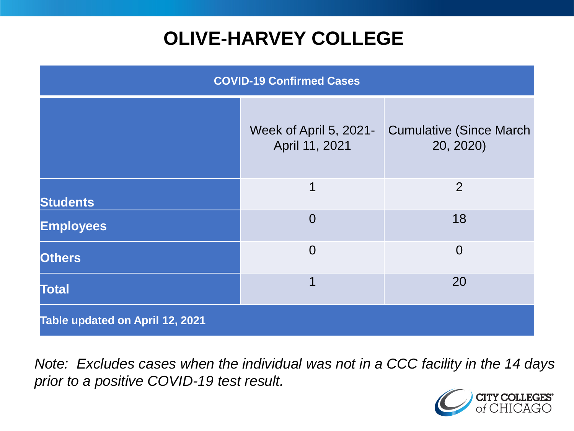# **OLIVE-HARVEY COLLEGE**

| <b>COVID-19 Confirmed Cases</b> |                                          |                                              |
|---------------------------------|------------------------------------------|----------------------------------------------|
|                                 | Week of April 5, 2021-<br>April 11, 2021 | <b>Cumulative (Since March)</b><br>20, 2020) |
| <b>Students</b>                 | 1                                        | 2                                            |
| <b>Employees</b>                | $\Omega$                                 | 18                                           |
| <b>Others</b>                   | $\overline{0}$                           | $\overline{0}$                               |
| <b>Total</b>                    | 1                                        | 20                                           |
| Table updated on April 12, 2021 |                                          |                                              |

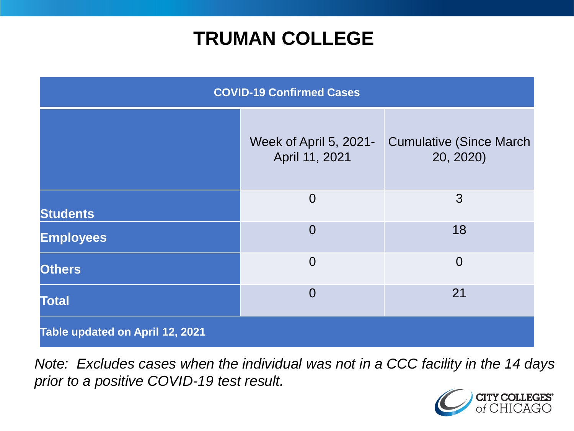### **TRUMAN COLLEGE**

| <b>COVID-19 Confirmed Cases</b> |                                          |                                              |
|---------------------------------|------------------------------------------|----------------------------------------------|
|                                 | Week of April 5, 2021-<br>April 11, 2021 | <b>Cumulative (Since March)</b><br>20, 2020) |
| <b>Students</b>                 | $\overline{0}$                           | 3                                            |
| <b>Employees</b>                | $\overline{0}$                           | 18                                           |
| <b>Others</b>                   | $\overline{0}$                           | $\overline{0}$                               |
| <b>Total</b>                    | $\overline{0}$                           | 21                                           |
| Table updated on April 12, 2021 |                                          |                                              |

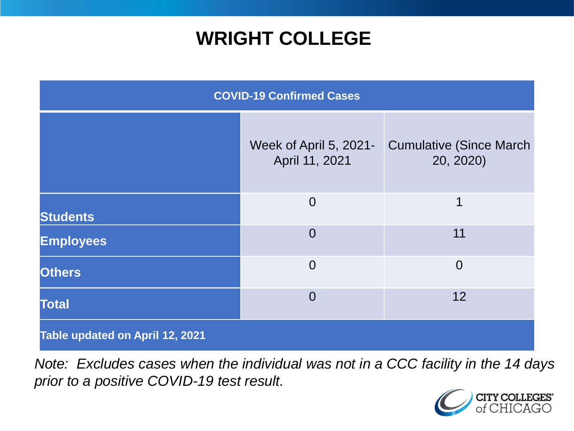### **WRIGHT COLLEGE**

| <b>COVID-19 Confirmed Cases</b> |                                          |                                              |
|---------------------------------|------------------------------------------|----------------------------------------------|
|                                 | Week of April 5, 2021-<br>April 11, 2021 | <b>Cumulative (Since March)</b><br>20, 2020) |
| <b>Students</b>                 | $\overline{0}$                           | 1                                            |
| <b>Employees</b>                | $\overline{0}$                           | 11                                           |
| <b>Others</b>                   | $\overline{0}$                           | $\overline{0}$                               |
| <b>Total</b>                    | $\Omega$                                 | 12                                           |
| Table updated on April 12, 2021 |                                          |                                              |